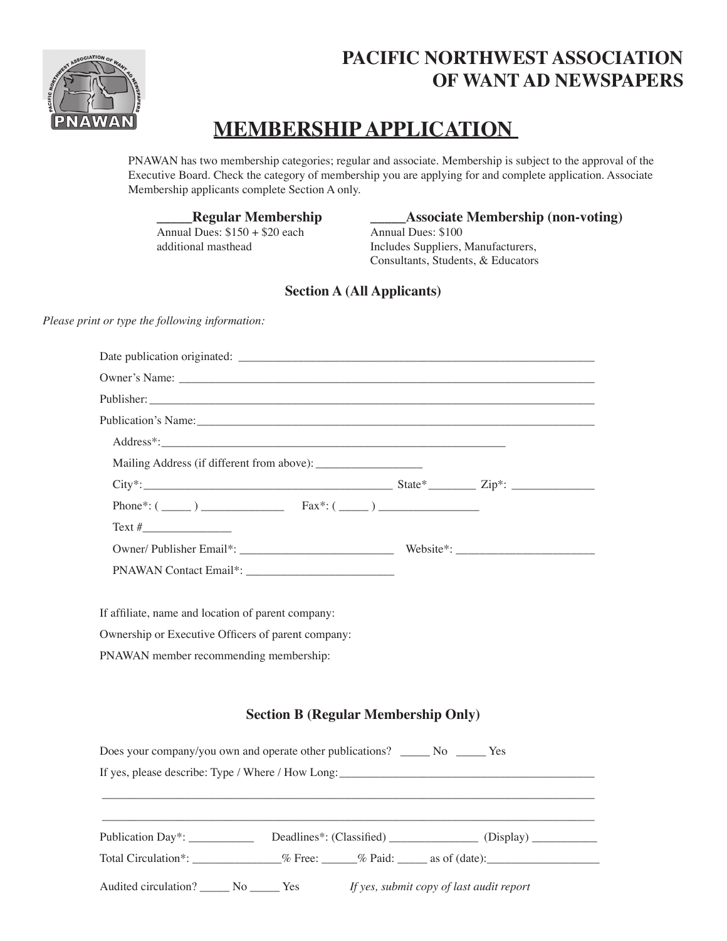

## **PACIFIC NORTHWEST ASSOCIATION OF WANT AD NEWSPAPERS**

# **MEMBERSHIP APPLICATION**

PNAWAN has two membership categories; regular and associate. Membership is subject to the approval of the Executive Board. Check the category of membership you are applying for and complete application. Associate Membership applicants complete Section A only.

Annual Dues:  $$150 + $20$  each

**Regular Membership**<br>
Dues: \$150 + \$20 each<br>
Annual Dues: \$100 additional masthead Includes Suppliers, Manufacturers, Consultants, Students, & Educators

#### **Section A (All Applicants)**

Date publication originated: \_\_\_\_\_\_\_\_\_\_\_\_\_\_\_\_\_\_\_\_\_\_\_\_\_\_\_\_\_\_\_\_\_\_\_\_\_\_\_\_\_\_\_\_\_\_\_\_\_\_\_\_\_\_\_\_\_\_\_\_

*Please print or type the following information:*

| Publisher:                                                                                                                                                                                                                     |                                            |  |
|--------------------------------------------------------------------------------------------------------------------------------------------------------------------------------------------------------------------------------|--------------------------------------------|--|
| Publication's Name: Name and the state of the state of the state of the state of the state of the state of the state of the state of the state of the state of the state of the state of the state of the state of the state o |                                            |  |
|                                                                                                                                                                                                                                |                                            |  |
|                                                                                                                                                                                                                                |                                            |  |
|                                                                                                                                                                                                                                |                                            |  |
| Phone*: $(\_\_)$ Fax*: $(\_\_)$                                                                                                                                                                                                |                                            |  |
| $Text\#$                                                                                                                                                                                                                       |                                            |  |
|                                                                                                                                                                                                                                |                                            |  |
| PNAWAN Contact Email*:                                                                                                                                                                                                         |                                            |  |
|                                                                                                                                                                                                                                |                                            |  |
| If affiliate, name and location of parent company:                                                                                                                                                                             |                                            |  |
| Ownership or Executive Officers of parent company:                                                                                                                                                                             |                                            |  |
| PNAWAN member recommending membership:                                                                                                                                                                                         |                                            |  |
|                                                                                                                                                                                                                                |                                            |  |
|                                                                                                                                                                                                                                |                                            |  |
|                                                                                                                                                                                                                                | <b>Section B (Regular Membership Only)</b> |  |
| Does your company/you own and operate other publications? ______ No ______ Yes                                                                                                                                                 |                                            |  |
| If yes, please describe: Type / Where / How Long:                                                                                                                                                                              |                                            |  |
|                                                                                                                                                                                                                                |                                            |  |
|                                                                                                                                                                                                                                |                                            |  |
|                                                                                                                                                                                                                                |                                            |  |
| Total Circulation*: _________________% Pree: ______% Paid: _____ as of (date): _____________________                                                                                                                           |                                            |  |
|                                                                                                                                                                                                                                |                                            |  |
| Audited circulation? No No Ness <i>If yes, submit copy of last audit report</i>                                                                                                                                                |                                            |  |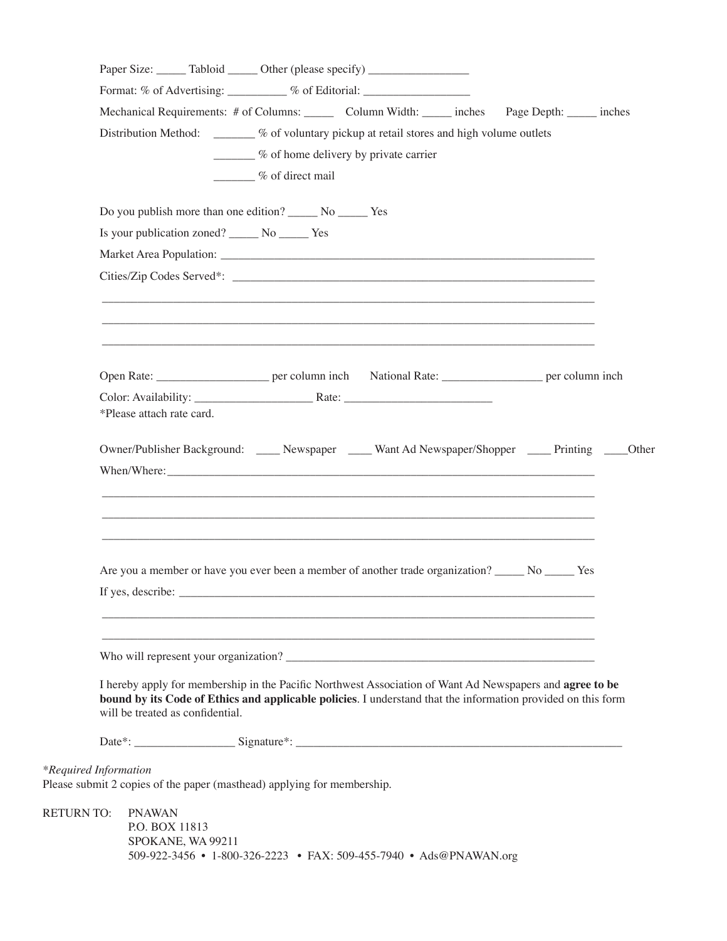|                   |                           |                                     | Paper Size: ______ Tabloid ______ Other (please specify) _______________________                                                                                                                                         |  |                           |  |
|-------------------|---------------------------|-------------------------------------|--------------------------------------------------------------------------------------------------------------------------------------------------------------------------------------------------------------------------|--|---------------------------|--|
|                   |                           |                                     | Format: % of Advertising: _________ % of Editorial: _____________________________                                                                                                                                        |  |                           |  |
|                   |                           |                                     | Mechanical Requirements: # of Columns: _______ Column Width: ______ inches                                                                                                                                               |  | Page Depth: ______ inches |  |
|                   |                           |                                     | Distribution Method: _______ % of voluntary pickup at retail stores and high volume outlets                                                                                                                              |  |                           |  |
|                   |                           |                                     | $\frac{1}{2}$ % of home delivery by private carrier                                                                                                                                                                      |  |                           |  |
|                   |                           |                                     | $\frac{1}{2}$ % of direct mail                                                                                                                                                                                           |  |                           |  |
|                   |                           |                                     | Do you publish more than one edition? ________ No _________ Yes                                                                                                                                                          |  |                           |  |
|                   |                           |                                     | Is your publication zoned? _______ No _______ Yes                                                                                                                                                                        |  |                           |  |
|                   |                           |                                     |                                                                                                                                                                                                                          |  |                           |  |
|                   |                           |                                     |                                                                                                                                                                                                                          |  |                           |  |
|                   |                           |                                     |                                                                                                                                                                                                                          |  |                           |  |
|                   |                           |                                     | Open Rate: __________________________ per column inch National Rate: _______________________ per column inch                                                                                                             |  |                           |  |
|                   |                           |                                     |                                                                                                                                                                                                                          |  |                           |  |
|                   | *Please attach rate card. |                                     |                                                                                                                                                                                                                          |  |                           |  |
|                   |                           |                                     |                                                                                                                                                                                                                          |  |                           |  |
|                   |                           |                                     | Are you a member or have you ever been a member of another trade organization? No No New                                                                                                                                 |  |                           |  |
|                   | If yes, describe:         |                                     |                                                                                                                                                                                                                          |  |                           |  |
|                   |                           |                                     |                                                                                                                                                                                                                          |  |                           |  |
|                   |                           |                                     | Who will represent your organization?                                                                                                                                                                                    |  |                           |  |
|                   |                           | will be treated as confidential.    | I hereby apply for membership in the Pacific Northwest Association of Want Ad Newspapers and agree to be<br>bound by its Code of Ethics and applicable policies. I understand that the information provided on this form |  |                           |  |
|                   |                           |                                     |                                                                                                                                                                                                                          |  |                           |  |
|                   | *Required Information     |                                     | Please submit 2 copies of the paper (masthead) applying for membership.                                                                                                                                                  |  |                           |  |
| <b>RETURN TO:</b> | <b>PNAWAN</b>             |                                     |                                                                                                                                                                                                                          |  |                           |  |
|                   |                           |                                     |                                                                                                                                                                                                                          |  |                           |  |
|                   |                           | P.O. BOX 11813<br>SPOKANE, WA 99211 |                                                                                                                                                                                                                          |  |                           |  |